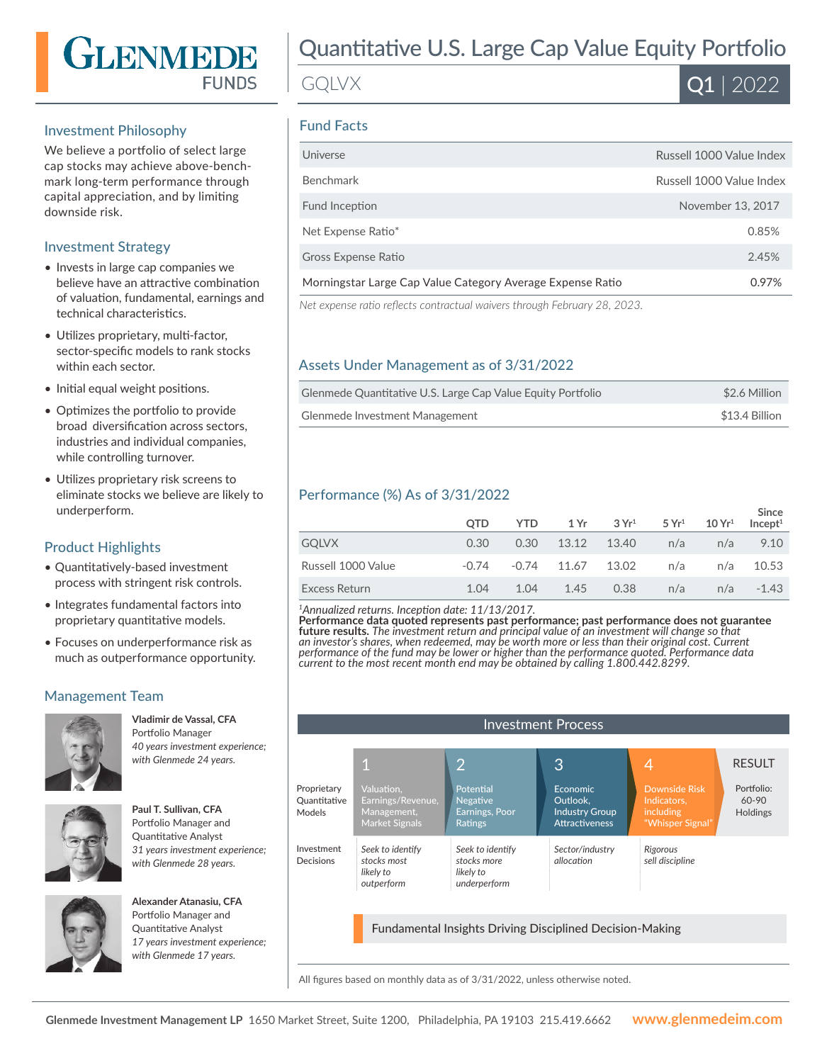

#### Investment Philosophy

We believe a portfolio of select large cap stocks may achieve above-benchmark long-term performance through capital appreciation, and by limiting downside risk.

#### Investment Strategy

- Invests in large cap companies we believe have an attractive combination of valuation, fundamental, earnings and technical characteristics.
- Utilizes proprietary, multi-factor, sector-specific models to rank stocks within each sector.
- Initial equal weight positions.
- Optimizes the portfolio to provide broad diversification across sectors, industries and individual companies, while controlling turnover.
- Utilizes proprietary risk screens to eliminate stocks we believe are likely to underperform.

## Product Highlights

- Quantitatively-based investment process with stringent risk controls.
- Integrates fundamental factors into proprietary quantitative models.
- Focuses on underperformance risk as much as outperformance opportunity.

## Management Team



**Vladimir de Vassal, CFA**  Portfolio Manager *40 years investment experience; with Glenmede 24 years.*



Portfolio Manager and Quantitative Analyst *31 years investment experience; with Glenmede 28 years.*

**Paul T. Sullivan, CFA** 



**Alexander Atanasiu, CFA**  Portfolio Manager and Quantitative Analyst *17 years investment experience; with Glenmede 17 years.*

# Quantitative U.S. Large Cap Value Equity Portfolio

# GQLVX



#### Fund Facts

| Universe                                                   | Russell 1000 Value Index |
|------------------------------------------------------------|--------------------------|
| <b>Benchmark</b>                                           | Russell 1000 Value Index |
| Fund Inception                                             | November 13, 2017        |
| Net Expense Ratio*                                         | 0.85%                    |
| Gross Expense Ratio                                        | 2.45%                    |
| Morningstar Large Cap Value Category Average Expense Ratio | 0.97%                    |

*Net expense ratio reflects contractual waivers through February 28, 2023.*

# Assets Under Management as of 3/31/2022

| Glenmede Quantitative U.S. Large Cap Value Equity Portfolio | \$2.6 Million  |
|-------------------------------------------------------------|----------------|
| Glenmede Investment Management                              | \$13.4 Billion |

## Performance (%) As of 3/31/2022

|                    | <b>OTD</b> | YTD. |                     | $1\,\mathrm{Yr}$ $3\,\mathrm{Yr}^1$ $5\,\mathrm{Yr}^1$ |     | $10 Yr^1$ | Since<br>Incept <sup>1</sup> |
|--------------------|------------|------|---------------------|--------------------------------------------------------|-----|-----------|------------------------------|
| <b>GQLVX</b>       | 0.30       |      | 0.30 13.12 13.40    |                                                        | n/a | n/a       | 9.10                         |
| Russell 1000 Value | $-0.74$    |      | $-0.74$ 11.67 13.02 |                                                        | n/a | n/a       | 10.53                        |
| Excess Return      | 1.04       | 1.04 | 1.45                | 0.38                                                   | n/a | n/a       | -1.43                        |

*<sup>1</sup>Annualized returns. Inception date: 11/13/2017.*

**Performance data quoted represents past performance; past performance does not guarantee future results.** *The investment return and principal value of an investment will change so that an investor's shares, when redeemed, may be worth more or less than their original cost. Current performance of the fund may be lower or higher than the performance quoted. Performance data current to the most recent month end may be obtained by calling 1.800.442.8299.*



All figures based on monthly data as of 3/31/2022, unless otherwise noted.